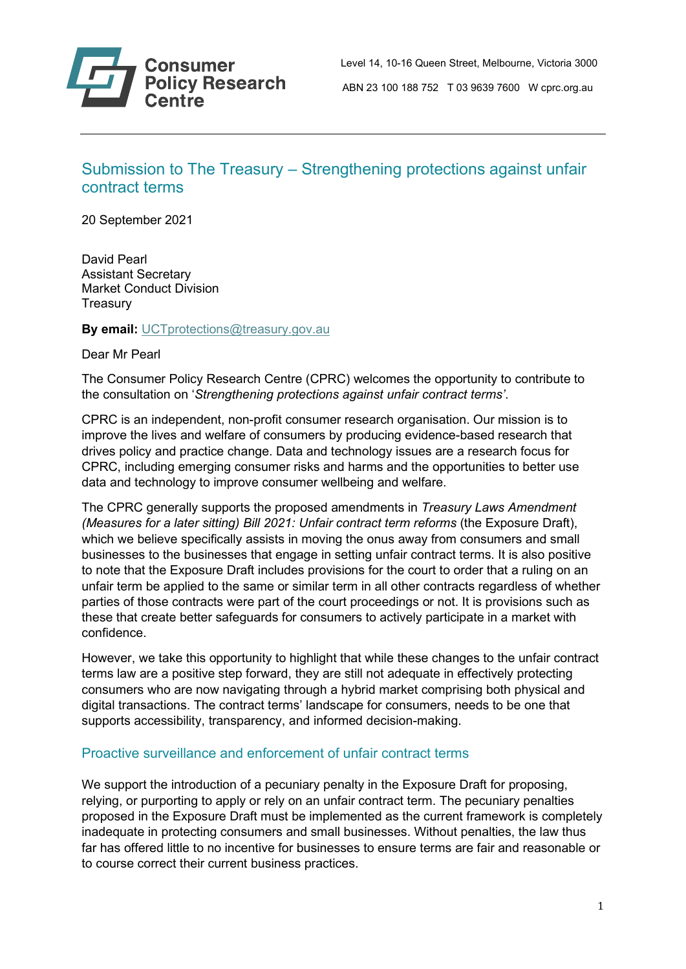

## Submission to The Treasury – Strengthening protections against unfair contract terms

20 September 2021

David Pearl Assistant Secretary Market Conduct Division **Treasury** 

**By email:** [UCTprotections@treasury.gov.au](mailto:UCTprotections@treasury.gov.au)

Dear Mr Pearl

The Consumer Policy Research Centre (CPRC) welcomes the opportunity to contribute to the consultation on '*Strengthening protections against unfair contract terms'*.

CPRC is an independent, non-profit consumer research organisation. Our mission is to improve the lives and welfare of consumers by producing evidence-based research that drives policy and practice change. Data and technology issues are a research focus for CPRC, including emerging consumer risks and harms and the opportunities to better use data and technology to improve consumer wellbeing and welfare.

The CPRC generally supports the proposed amendments in *Treasury Laws Amendment (Measures for a later sitting) Bill 2021: Unfair contract term reforms* (the Exposure Draft), which we believe specifically assists in moving the onus away from consumers and small businesses to the businesses that engage in setting unfair contract terms. It is also positive to note that the Exposure Draft includes provisions for the court to order that a ruling on an unfair term be applied to the same or similar term in all other contracts regardless of whether parties of those contracts were part of the court proceedings or not. It is provisions such as these that create better safeguards for consumers to actively participate in a market with confidence.

However, we take this opportunity to highlight that while these changes to the unfair contract terms law are a positive step forward, they are still not adequate in effectively protecting consumers who are now navigating through a hybrid market comprising both physical and digital transactions. The contract terms' landscape for consumers, needs to be one that supports accessibility, transparency, and informed decision-making.

## Proactive surveillance and enforcement of unfair contract terms

We support the introduction of a pecuniary penalty in the Exposure Draft for proposing, relying, or purporting to apply or rely on an unfair contract term. The pecuniary penalties proposed in the Exposure Draft must be implemented as the current framework is completely inadequate in protecting consumers and small businesses. Without penalties, the law thus far has offered little to no incentive for businesses to ensure terms are fair and reasonable or to course correct their current business practices.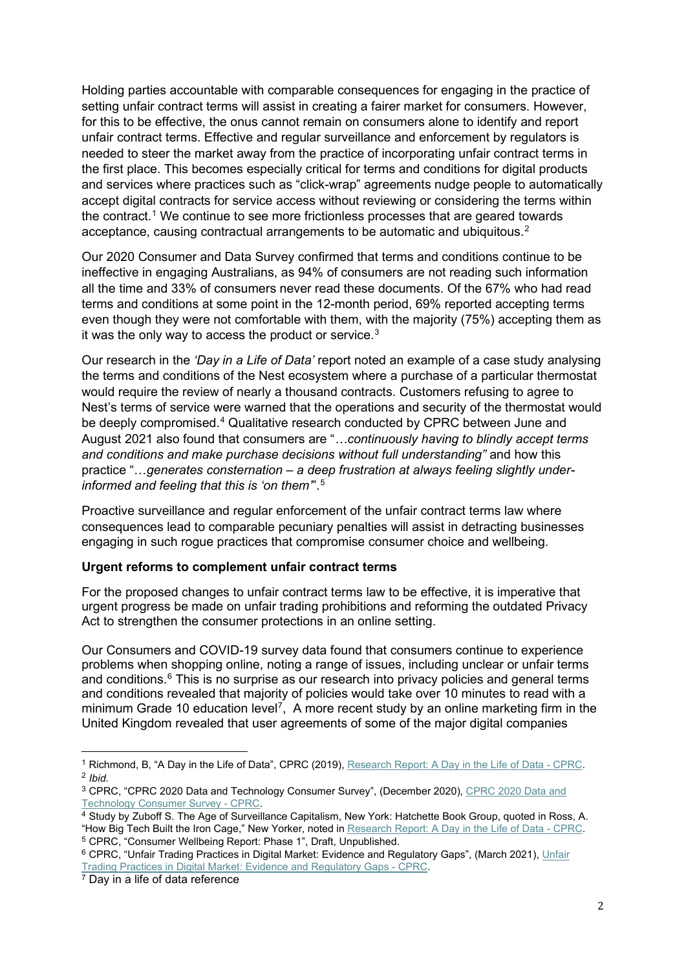Holding parties accountable with comparable consequences for engaging in the practice of setting unfair contract terms will assist in creating a fairer market for consumers. However, for this to be effective, the onus cannot remain on consumers alone to identify and report unfair contract terms. Effective and regular surveillance and enforcement by regulators is needed to steer the market away from the practice of incorporating unfair contract terms in the first place. This becomes especially critical for terms and conditions for digital products and services where practices such as "click-wrap" agreements nudge people to automatically accept digital contracts for service access without reviewing or considering the terms within the contract.<sup>[1](#page-1-0)</sup> We continue to see more frictionless processes that are geared towards acceptance, causing contractual arrangements to be automatic and ubiquitous.<sup>[2](#page-1-1)</sup>

Our 2020 Consumer and Data Survey confirmed that terms and conditions continue to be ineffective in engaging Australians, as 94% of consumers are not reading such information all the time and 33% of consumers never read these documents. Of the 67% who had read terms and conditions at some point in the 12-month period, 69% reported accepting terms even though they were not comfortable with them, with the majority (75%) accepting them as it was the only way to access the product or service. $^3$  $^3$ 

Our research in the *'Day in a Life of Data'* report noted an example of a case study analysing the terms and conditions of the Nest ecosystem where a purchase of a particular thermostat would require the review of nearly a thousand contracts. Customers refusing to agree to Nest's terms of service were warned that the operations and security of the thermostat would be deeply compromised.[4](#page-1-3) Qualitative research conducted by CPRC between June and August 2021 also found that consumers are "*…continuously having to blindly accept terms and conditions and make purchase decisions without full understanding"* and how this practice "…*generates consternation – a deep frustration at always feeling slightly underinformed and feeling that this is 'on them'*".[5](#page-1-4)

Proactive surveillance and regular enforcement of the unfair contract terms law where consequences lead to comparable pecuniary penalties will assist in detracting businesses engaging in such rogue practices that compromise consumer choice and wellbeing.

## **Urgent reforms to complement unfair contract terms**

For the proposed changes to unfair contract terms law to be effective, it is imperative that urgent progress be made on unfair trading prohibitions and reforming the outdated Privacy Act to strengthen the consumer protections in an online setting.

Our Consumers and COVID-19 survey data found that consumers continue to experience problems when shopping online, noting a range of issues, including unclear or unfair terms and conditions.<sup>[6](#page-1-5)</sup> This is no surprise as our research into privacy policies and general terms and conditions revealed that majority of policies would take over 10 minutes to read with a minimum Grade 10 education level<sup>[7](#page-1-6)</sup>, A more recent study by an online marketing firm in the United Kingdom revealed that user agreements of some of the major digital companies

<span id="page-1-1"></span><span id="page-1-0"></span><sup>1</sup> Richmond, B, "A Day in the Life of Data", CPRC (2019), Research Report: A [Day in the Life of Data -](https://cprc.org.au/publications/research-report-a-day-in-the-life-of-data/#:%7E:text=Research%20Report%3A%20A%20Day%20in%20the%20Life%20of,often%20without%20their%20full%20knowledge%2C%20understanding%2C%20or%20consent.) CPRC. <sup>2</sup> *Ibid.*

<span id="page-1-2"></span><sup>&</sup>lt;sup>3</sup> CPRC, "CPRC 2020 Data and Technology Consumer Survey", (December 2020), CPRC 2020 Data and [Technology Consumer Survey -](https://cprc.org.au/publications/cprc-2020-data-and-technology-consumer-survey/) CPRC.

<span id="page-1-3"></span><sup>&</sup>lt;sup>4</sup> Study by Zuboff S. The Age of Surveillance Capitalism, New York: Hatchette Book Group, quoted in Ross, A. "How Big Tech Built the Iron Cage," New Yorker, noted i[n Research Report: A Day in the Life of Data -](https://cprc.org.au/publications/research-report-a-day-in-the-life-of-data/#:%7E:text=Research%20Report%3A%20A%20Day%20in%20the%20Life%20of,often%20without%20their%20full%20knowledge%2C%20understanding%2C%20or%20consent.) CPRC.

<span id="page-1-4"></span><sup>5</sup> CPRC, "Consumer Wellbeing Report: Phase 1", Draft, Unpublished.

<span id="page-1-5"></span><sup>&</sup>lt;sup>6</sup> CPRC, "Unfair Trading Practices in Digital Market: Evidence and Regulatory Gaps", (March 2021), Unfair [Trading Practices in Digital Market: Evidence and Regulatory Gaps -](https://cprc.org.au/publications/unfair-trading-practices-in-digital-market-evidence-and-regulatory-gaps/) CPRC.

<span id="page-1-6"></span> $\frac{7}{7}$  Day in a life of data reference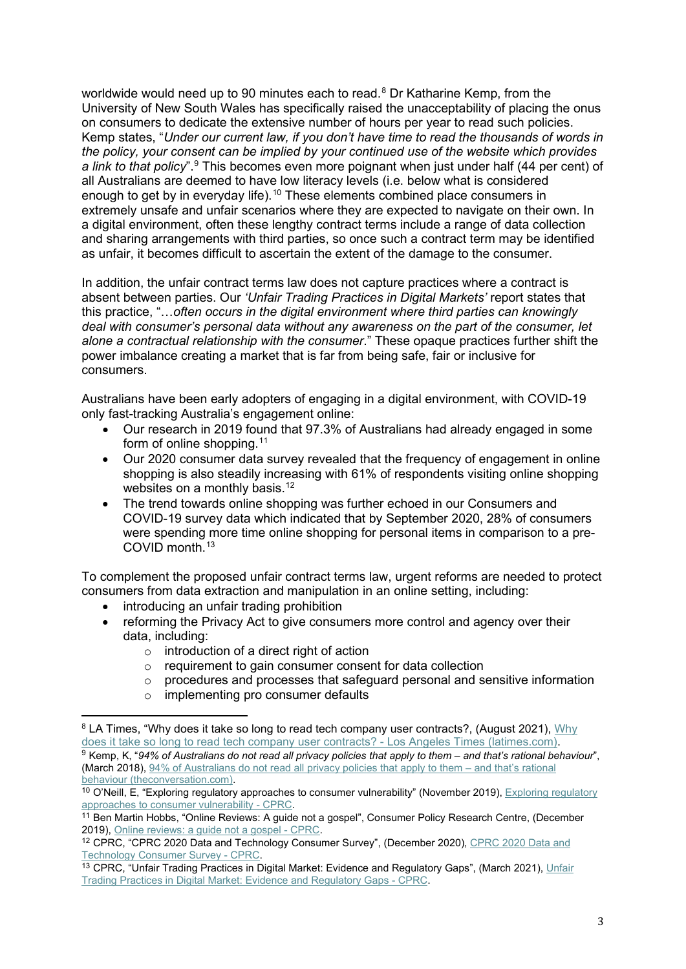worldwide would need up to 90 minutes each to read.<sup>[8](#page-2-0)</sup> Dr Katharine Kemp, from the University of New South Wales has specifically raised the unacceptability of placing the onus on consumers to dedicate the extensive number of hours per year to read such policies. Kemp states, "*Under our current law, if you don't have time to read the thousands of words in the policy, your consent can be implied by your continued use of the website which provides a link to that policy*".[9](#page-2-1) This becomes even more poignant when just under half (44 per cent) of all Australians are deemed to have low literacy levels (i.e. below what is considered enough to get by in everyday life).<sup>[10](#page-2-2)</sup> These elements combined place consumers in extremely unsafe and unfair scenarios where they are expected to navigate on their own. In a digital environment, often these lengthy contract terms include a range of data collection and sharing arrangements with third parties, so once such a contract term may be identified as unfair, it becomes difficult to ascertain the extent of the damage to the consumer.

In addition, the unfair contract terms law does not capture practices where a contract is absent between parties. Our *'Unfair Trading Practices in Digital Markets'* report states that this practice, "…*often occurs in the digital environment where third parties can knowingly deal with consumer's personal data without any awareness on the part of the consumer, let alone a contractual relationship with the consumer*." These opaque practices further shift the power imbalance creating a market that is far from being safe, fair or inclusive for consumers.

Australians have been early adopters of engaging in a digital environment, with COVID-19 only fast-tracking Australia's engagement online:

- Our research in 2019 found that 97.3% of Australians had already engaged in some form of online shopping.<sup>[11](#page-2-3)</sup>
- Our 2020 consumer data survey revealed that the frequency of engagement in online shopping is also steadily increasing with 61% of respondents visiting online shopping websites on a monthly basis.<sup>[12](#page-2-4)</sup>
- The trend towards online shopping was further echoed in our Consumers and COVID-19 survey data which indicated that by September 2020, 28% of consumers were spending more time online shopping for personal items in comparison to a pre-COVID month.[13](#page-2-5)

To complement the proposed unfair contract terms law, urgent reforms are needed to protect consumers from data extraction and manipulation in an online setting, including:

- introducing an unfair trading prohibition
- reforming the Privacy Act to give consumers more control and agency over their data, including:
	- $\circ$  introduction of a direct right of action<br> $\circ$  requirement to gain consumer conser
	- requirement to gain consumer consent for data collection
	- $\circ$  procedures and processes that safeguard personal and sensitive information  $\circ$  implementing pro consumer defaults
		- implementing pro consumer defaults

<span id="page-2-0"></span><sup>8</sup> LA Times, "[Why](https://www.latimes.com/business/story/2021-08-24/column-consumer-contracts) does it take so long to read tech company user contracts?, (August 2021), Why [does it take so long to read tech company user contracts? -](https://www.latimes.com/business/story/2021-08-24/column-consumer-contracts) Los Angeles Times (latimes.com). <sup>9</sup> Kemp, K, "*94% of Australians do not read all privacy policies that apply to them – and that's rational behaviour*",

<span id="page-2-1"></span><sup>(</sup>March 2018)[, 94% of Australians do not read all privacy policies that apply to them –](https://theconversation.com/94-of-australians-do-not-read-all-privacy-policies-that-apply-to-them-and-thats-rational-behaviour-96353) and that's rational [behaviour \(theconversation.com\).](https://theconversation.com/94-of-australians-do-not-read-all-privacy-policies-that-apply-to-them-and-thats-rational-behaviour-96353)

<span id="page-2-2"></span> $10$  O'Neill, E, "Exploring regulatory approaches to consumer vulnerability" (November 2019), Exploring regulatory [approaches to consumer vulnerability -](https://cprc.org.au/projects/exploring-regulatory-approaches-to-consumer-vulnerability/#:%7E:text=CPRC%20was%20engaged%20by%20the%20AER%20to%20investigate,consumer%20vulnerability%3A%20A%20CPRC%20report%20for%20the%20AER) CPRC.

<span id="page-2-3"></span><sup>11</sup> Ben Martin Hobbs, "Online Reviews: A guide not a gospel", Consumer Policy Research Centre, (December 2019), [Online reviews: a guide not a gospel -](https://cprc.org.au/publications/online-reviews-a-guide-not-a-gospel/) CPRC.

<span id="page-2-4"></span><sup>&</sup>lt;sup>12</sup> CPRC, "CPRC 2020 Data and Technology Consumer Survey", (December 2020), CPRC 2020 Data and [Technology Consumer Survey -](https://cprc.org.au/publications/cprc-2020-data-and-technology-consumer-survey/) CPRC.

<span id="page-2-5"></span><sup>&</sup>lt;sup>13</sup> CPRC, "Unfair Trading Practices in Digital Market: Evidence and Regulatory Gaps", (March 2021), Unfair [Trading Practices in Digital Market: Evidence and Regulatory Gaps -](https://cprc.org.au/publications/unfair-trading-practices-in-digital-market-evidence-and-regulatory-gaps/) CPRC.